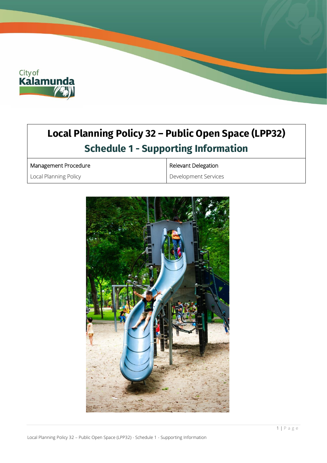

# **Local Planning Policy 32 – Public Open Space (LPP32) Schedule 1 - Supporting Information**

Management Procedure

Local Planning Policy

Relevant Delegation

Development Services

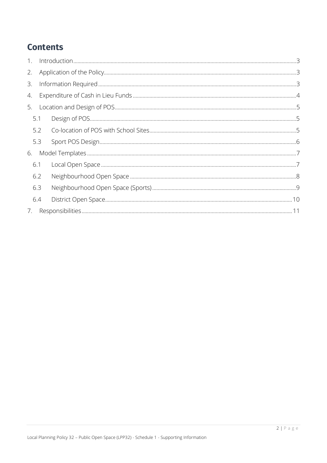## **Contents**

| 1. |     |  |  |  |  |
|----|-----|--|--|--|--|
| 2. |     |  |  |  |  |
| 3. |     |  |  |  |  |
| 4. |     |  |  |  |  |
| 5. |     |  |  |  |  |
|    | 5.1 |  |  |  |  |
|    | 5.2 |  |  |  |  |
|    | 5.3 |  |  |  |  |
| 6. |     |  |  |  |  |
|    | 6.1 |  |  |  |  |
|    | 6.2 |  |  |  |  |
|    | 6.3 |  |  |  |  |
|    | 6.4 |  |  |  |  |
| 7. |     |  |  |  |  |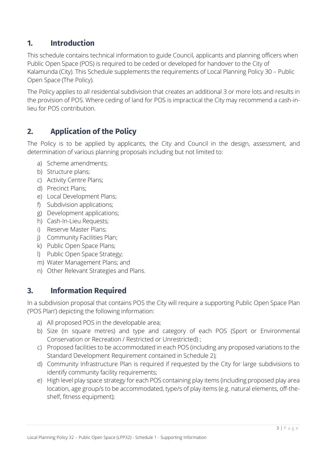## <span id="page-2-0"></span>**1. Introduction**

This schedule contains technical information to guide Council, applicants and planning officers when Public Open Space (POS) is required to be ceded or developed for handover to the City of Kalamunda (City). This Schedule supplements the requirements of Local Planning Policy 30 – Public Open Space (The Policy).

The Policy applies to all residential subdivision that creates an additional 3 or more lots and results in the provision of POS. Where ceding of land for POS is impractical the City may recommend a cash-inlieu for POS contribution.

## <span id="page-2-1"></span>**2. Application of the Policy**

The Policy is to be applied by applicants, the City and Council in the design, assessment, and determination of various planning proposals including but not limited to:

- a) Scheme amendments;
- b) Structure plans;
- c) Activity Centre Plans;
- d) Precinct Plans;
- e) Local Development Plans;
- f) Subdivision applications;
- g) Development applications;
- h) Cash-In-Lieu Requests;
- i) Reserve Master Plans;
- j) Community Facilities Plan;
- k) Public Open Space Plans;
- l) Public Open Space Strategy;
- m) Water Management Plans; and
- n) Other Relevant Strategies and Plans.

### <span id="page-2-2"></span>**3. Information Required**

In a subdivision proposal that contains POS the City will require a supporting Public Open Space Plan ('POS Plan') depicting the following information:

- a) All proposed POS in the developable area;
- b) Size (in square metres) and type and category of each POS (Sport or Environmental Conservation or Recreation / Restricted or Unrestricted) ;
- c) Proposed facilities to be accommodated in each POS (including any proposed variations to the Standard Development Requirement contained in Schedule 2);
- d) Community Infrastructure Plan is required if requested by the City for large subdivisions to identify community facility requirements;
- e) High level play space strategy for each POS containing play items (including proposed play area location, age group/s to be accommodated, type/s of play items (e.g. natural elements, off-theshelf, fitness equipment);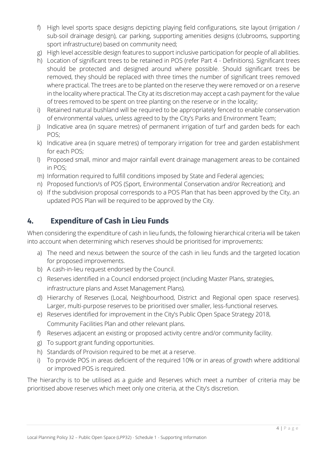- f) High level sports space designs depicting playing field configurations, site layout (irrigation / sub-soil drainage design), car parking, supporting amenities designs (clubrooms, supporting sport infrastructure) based on community need;
- g) High level accessible design features to support inclusive participation for people of all abilities.
- h) Location of significant trees to be retained in POS (refer Part 4 Definitions). Significant trees should be protected and designed around where possible. Should significant trees be removed, they should be replaced with three times the number of significant trees removed where practical. The trees are to be planted on the reserve they were removed or on a reserve in the locality where practical. The City at its discretion may accept a cash payment for the value of trees removed to be spent on tree planting on the reserve or in the locality;
- i) Retained natural bushland will be required to be appropriately fenced to enable conservation of environmental values, unless agreed to by the City's Parks and Environment Team;
- j) Indicative area (in square metres) of permanent irrigation of turf and garden beds for each POS;
- k) Indicative area (in square metres) of temporary irrigation for tree and garden establishment for each POS;
- l) Proposed small, minor and major rainfall event drainage management areas to be contained in POS;
- m) Information required to fulfill conditions imposed by State and Federal agencies;
- n) Proposed function/s of POS (Sport, Environmental Conservation and/or Recreation); and
- o) If the subdivision proposal corresponds to a POS Plan that has been approved by the City, an updated POS Plan will be required to be approved by the City.

## <span id="page-3-0"></span>**4. Expenditure of Cash in Lieu Funds**

When considering the expenditure of cash in lieu funds, the following hierarchical criteria will be taken into account when determining which reserves should be prioritised for improvements:

- a) The need and nexus between the source of the cash in lieu funds and the targeted location for proposed improvements.
- b) A cash-in-lieu request endorsed by the Council.
- c) Reserves identified in a Council endorsed project (including Master Plans, strategies, infrastructure plans and Asset Management Plans).
- d) Hierarchy of Reserves (Local, Neighbourhood, District and Regional open space reserves). Larger, multi-purpose reserves to be prioritised over smaller, less-functional reserves.
- e) Reserves identified for improvement in the City's Public Open Space Strategy 2018, Community Facilities Plan and other relevant plans.
- f) Reserves adjacent an existing or proposed activity centre and/or community facility.
- g) To support grant funding opportunities.
- h) Standards of Provision required to be met at a reserve.
- i) To provide POS in areas deficient of the required 10% or in areas of growth where additional or improved POS is required.

The hierarchy is to be utilised as a guide and Reserves which meet a number of criteria may be prioritised above reserves which meet only one criteria, at the City's discretion.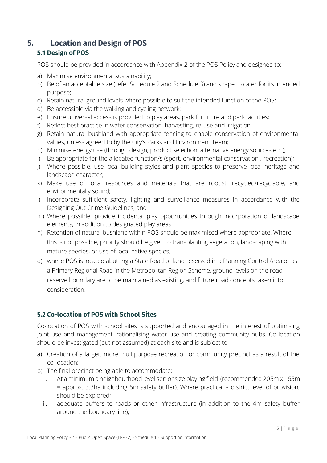## <span id="page-4-0"></span>**5. Location and Design of POS**

#### <span id="page-4-1"></span>**5.1 Design of POS**

POS should be provided in accordance with Appendix 2 of the POS Policy and designed to:

- a) Maximise environmental sustainability;
- b) Be of an acceptable size (refer Schedule 2 and Schedule 3) and shape to cater for its intended purpose;
- c) Retain natural ground levels where possible to suit the intended function of the POS;
- d) Be accessible via the walking and cycling network;
- e) Ensure universal access is provided to play areas, park furniture and park facilities;
- f) Reflect best practice in water conservation, harvesting, re-use and irrigation;
- g) Retain natural bushland with appropriate fencing to enable conservation of environmental values, unless agreed to by the City's Parks and Environment Team;
- h) Minimise energy use (through design, product selection, alternative energy sources etc.);
- i) Be appropriate for the allocated function/s (sport, environmental conservation, recreation);
- j) Where possible, use local building styles and plant species to preserve local heritage and landscape character;
- k) Make use of local resources and materials that are robust, recycled/recyclable, and environmentally sound;
- l) Incorporate sufficient safety, lighting and surveillance measures in accordance with the Designing Out Crime Guidelines; and
- m) Where possible, provide incidental play opportunities through incorporation of landscape elements, in addition to designated play areas.
- n) Retention of natural bushland within POS should be maximised where appropriate. Where this is not possible, priority should be given to transplanting vegetation, landscaping with mature species, or use of local native species;
- o) where POS is located abutting a State Road or land reserved in a Planning Control Area or as a Primary Regional Road in the Metropolitan Region Scheme, ground levels on the road reserve boundary are to be maintained as existing, and future road concepts taken into consideration.

#### <span id="page-4-2"></span>**5.2 Co-location of POS with School Sites**

Co-location of POS with school sites is supported and encouraged in the interest of optimising joint use and management, rationalising water use and creating community hubs. Co-location should be investigated (but not assumed) at each site and is subject to:

- a) Creation of a larger, more multipurpose recreation or community precinct as a result of the co-location;
- b) The final precinct being able to accommodate:
	- i. At a minimum a neighbourhood level senior size playing field (recommended 205m x 165m = approx. 3.3ha including 5m safety buffer). Where practical a district level of provision, should be explored;
	- ii. adequate buffers to roads or other infrastructure (in addition to the 4m safety buffer around the boundary line);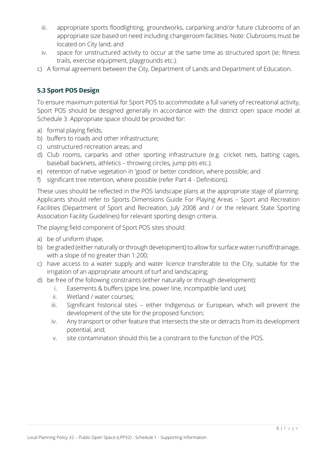- iii. appropriate sports floodlighting, groundworks, carparking and/or future clubrooms of an appropriate size based on need including changeroom facilities. Note: Clubrooms must be located on City land; and
- iv. space for unstructured activity to occur at the same time as structured sport (ie; fitness trails, exercise equipment, playgrounds etc.).
- c) A formal agreement between the City, Department of Lands and Department of Education.

#### <span id="page-5-0"></span>**5.3 Sport POS Design**

To ensure maximum potential for Sport POS to accommodate a full variety of recreational activity, Sport POS should be designed generally in accordance with the district open space model at Schedule 3. Appropriate space should be provided for:

- a) formal playing fields;
- b) buffers to roads and other infrastructure;
- c) unstructured recreation areas; and
- d) Club rooms, carparks and other sporting infrastructure (e.g. cricket nets, batting cages, baseball backnets, athletics – throwing circles, jump pits etc.).
- e) retention of native vegetation in 'good' or better condition, where possible; and
- f) significant tree retention, where possible (refer Part 4 Definitions).

These uses should be reflected in the POS landscape plans at the appropriate stage of planning. Applicants should refer to Sports Dimensions Guide For Playing Areas – Sport and Recreation Facilities (Department of Sport and Recreation, July 2008 and / or the relevant State Sporting Association Facility Guidelines) for relevant sporting design criteria.

The playing field component of Sport POS sites should:

- a) be of uniform shape,
- b) be graded (either naturally or through development) to allow for surface water runoff/drainage, with a slope of no greater than 1:200;
- c) have access to a water supply and water licence transferable to the City, suitable for the irrigation of an appropriate amount of turf and landscaping;
- d) be free of the following constraints (either naturally or through development):
	- i. Easements & buffers (pipe line, power line, incompatible land use);
	- ii. Wetland / water courses;
	- iii. Significant historical sites either Indigenous or European, which will prevent the development of the site for the proposed function;
	- iv. Any transport or other feature that intersects the site or detracts from its development potential, and;
	- v. site contamination should this be a constraint to the function of the POS.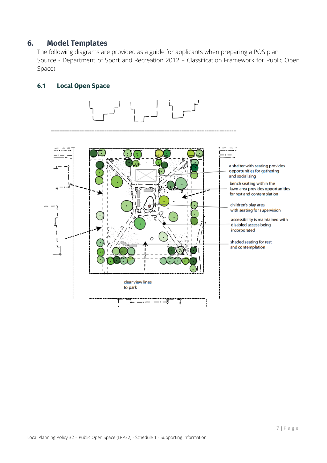#### <span id="page-6-0"></span>**6. Model Templates**

The following diagrams are provided as a guide for applicants when preparing a POS plan Source - Department of Sport and Recreation 2012 – Classification Framework for Public Open Space)

#### <span id="page-6-1"></span>**6.1 Local Open Space**

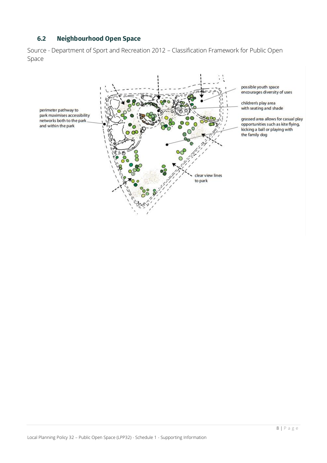#### **6.2 Neighbourhood Open Space**

<span id="page-7-0"></span>Source - Department of Sport and Recreation 2012 – Classification Framework for Public Open Space



possible youth space<br>encourages diversity of uses

children's play area with seating and shade

grassed area allows for casual play opportunities such as kite flying,<br>kicking a ball or playing with the family dog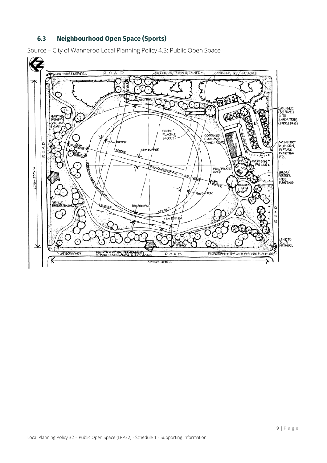#### **6.3 Neighbourhood Open Space (Sports)**

<span id="page-8-0"></span>Source – City of Wanneroo Local Planning Policy 4.3: Public Open Space

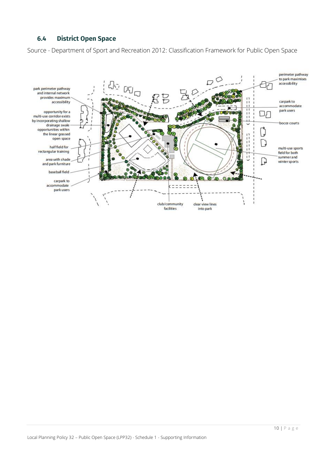#### <span id="page-9-0"></span>**6.4 District Open Space**

Source - Department of Sport and Recreation 2012: Classification Framework for Public Open Space

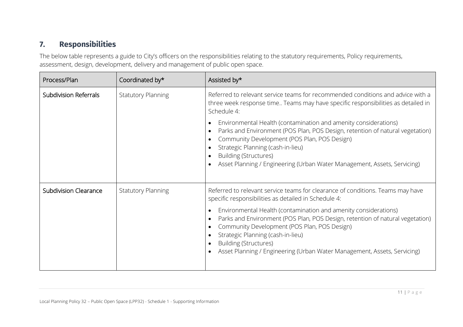## **7. Responsibilities**

The below table represents a guide to City's officers on the responsibilities relating to the statutory requirements, Policy requirements, assessment, design, development, delivery and management of public open space.

<span id="page-10-0"></span>

| Process/Plan                 | Coordinated by*           | Assisted by*                                                                                                                                                                                                                                                                                                                                                                                                                                                                                                                            |
|------------------------------|---------------------------|-----------------------------------------------------------------------------------------------------------------------------------------------------------------------------------------------------------------------------------------------------------------------------------------------------------------------------------------------------------------------------------------------------------------------------------------------------------------------------------------------------------------------------------------|
| Subdivision Referrals        | <b>Statutory Planning</b> | Referred to relevant service teams for recommended conditions and advice with a<br>three week response time Teams may have specific responsibilities as detailed in<br>Schedule 4:<br>Environmental Health (contamination and amenity considerations)<br>Parks and Environment (POS Plan, POS Design, retention of natural vegetation)<br>Community Development (POS Plan, POS Design)<br>Strategic Planning (cash-in-lieu)<br><b>Building (Structures)</b><br>Asset Planning / Engineering (Urban Water Management, Assets, Servicing) |
| <b>Subdivision Clearance</b> | <b>Statutory Planning</b> | Referred to relevant service teams for clearance of conditions. Teams may have<br>specific responsibilities as detailed in Schedule 4:<br>Environmental Health (contamination and amenity considerations)<br>Parks and Environment (POS Plan, POS Design, retention of natural vegetation)<br>Community Development (POS Plan, POS Design)<br>Strategic Planning (cash-in-lieu)<br><b>Building (Structures)</b><br>Asset Planning / Engineering (Urban Water Management, Assets, Servicing)                                             |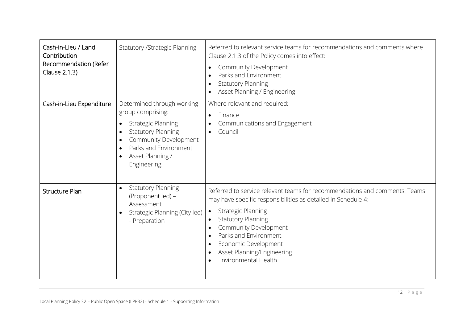| Cash-in-Lieu / Land<br>Contribution<br>Recommendation (Refer<br>Clause 2.1.3) | <b>Statutory / Strategic Planning</b>                                                                                                                                                                                                                           | Referred to relevant service teams for recommendations and comments where<br>Clause 2.1.3 of the Policy comes into effect:<br>Community Development<br>Parks and Environment<br><b>Statutory Planning</b><br>Asset Planning / Engineering                                                                                                                       |
|-------------------------------------------------------------------------------|-----------------------------------------------------------------------------------------------------------------------------------------------------------------------------------------------------------------------------------------------------------------|-----------------------------------------------------------------------------------------------------------------------------------------------------------------------------------------------------------------------------------------------------------------------------------------------------------------------------------------------------------------|
| Cash-in-Lieu Expenditure                                                      | Determined through working<br>group comprising:<br><b>Strategic Planning</b><br>$\bullet$<br><b>Statutory Planning</b><br>$\bullet$<br>Community Development<br>$\bullet$<br>Parks and Environment<br>$\bullet$<br>Asset Planning /<br>$\bullet$<br>Engineering | Where relevant and required:<br>Finance<br>$\bullet$<br>Communications and Engagement<br>Council                                                                                                                                                                                                                                                                |
| <b>Structure Plan</b>                                                         | <b>Statutory Planning</b><br>$\bullet$<br>(Proponent led) -<br>Assessment<br>Strategic Planning (City led)<br>$\bullet$<br>- Preparation                                                                                                                        | Referred to service relevant teams for recommendations and comments. Teams<br>may have specific responsibilities as detailed in Schedule 4:<br><b>Strategic Planning</b><br>$\bullet$<br><b>Statutory Planning</b><br>$\bullet$<br>Community Development<br>Parks and Environment<br>Economic Development<br>Asset Planning/Engineering<br>Environmental Health |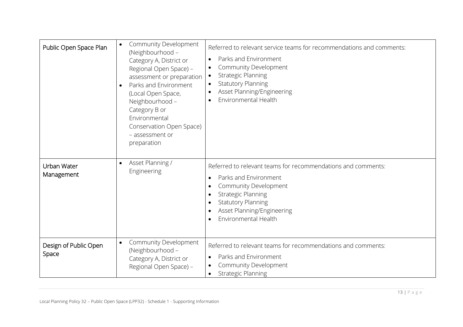| Public Open Space Plan                      | Community Development<br>(Neighbourhood -<br>Category A, District or<br>Regional Open Space) -<br>assessment or preparation<br>Parks and Environment<br>(Local Open Space,<br>Neighbourhood -<br>Category B or<br>Environmental<br>Conservation Open Space)<br>- assessment or<br>preparation | Referred to relevant service teams for recommendations and comments:<br>Parks and Environment<br>Community Development<br>$\bullet$<br><b>Strategic Planning</b><br>$\bullet$<br><b>Statutory Planning</b><br>$\bullet$<br>Asset Planning/Engineering<br>Environmental Health |
|---------------------------------------------|-----------------------------------------------------------------------------------------------------------------------------------------------------------------------------------------------------------------------------------------------------------------------------------------------|-------------------------------------------------------------------------------------------------------------------------------------------------------------------------------------------------------------------------------------------------------------------------------|
| $\bullet$<br>Urban Water<br>Management      | Asset Planning /<br>Engineering                                                                                                                                                                                                                                                               | Referred to relevant teams for recommendations and comments:<br>Parks and Environment<br>Community Development<br><b>Strategic Planning</b><br><b>Statutory Planning</b><br>Asset Planning/Engineering<br>Environmental Health                                                |
| $\bullet$<br>Design of Public Open<br>Space | Community Development<br>(Neighbourhood -<br>Category A, District or<br>Regional Open Space) -                                                                                                                                                                                                | Referred to relevant teams for recommendations and comments:<br>Parks and Environment<br>Community Development<br>$\bullet$<br><b>Strategic Planning</b>                                                                                                                      |